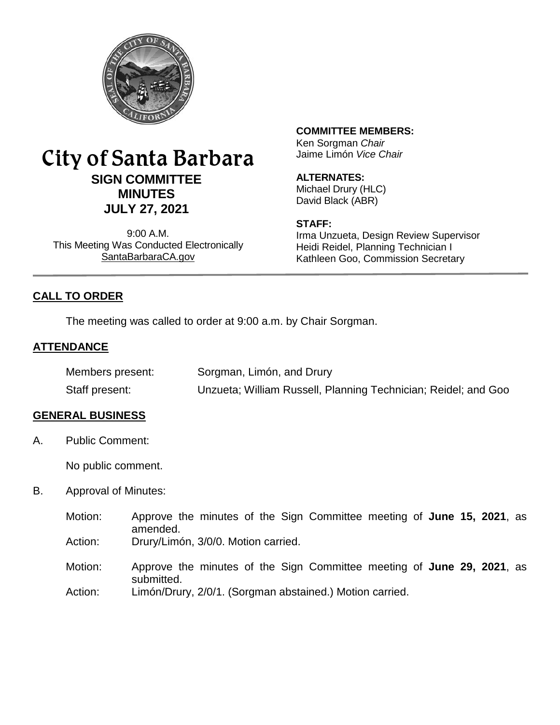

# City of Santa Barbara **SIGN COMMITTEE MINUTES JULY 27, 2021**

9:00 A.M. This Meeting Was Conducted Electronically [SantaBarbaraCA.gov](http://www.santabarbaraca.gov/)

# **COMMITTEE MEMBERS:**

Ken Sorgman *Chair* Jaime Limón *Vice Chair*

### **ALTERNATES:**

Michael Drury (HLC) David Black (ABR)

#### **STAFF:**

Irma Unzueta, Design Review Supervisor Heidi Reidel, Planning Technician I Kathleen Goo, Commission Secretary

# **CALL TO ORDER**

The meeting was called to order at 9:00 a.m. by Chair Sorgman.

### **ATTENDANCE**

| Members present: | Sorgman, Limón, and Drury                                      |
|------------------|----------------------------------------------------------------|
| Staff present:   | Unzueta; William Russell, Planning Technician; Reidel; and Goo |

#### **GENERAL BUSINESS**

A. Public Comment:

No public comment.

- B. Approval of Minutes:
	- Motion: Approve the minutes of the Sign Committee meeting of **June 15, 2021**, as amended.
	- Action: Drury/Limón, 3/0/0. Motion carried.
	- Motion: Approve the minutes of the Sign Committee meeting of **June 29, 2021**, as submitted.
	- Action: Limón/Drury, 2/0/1. (Sorgman abstained.) Motion carried.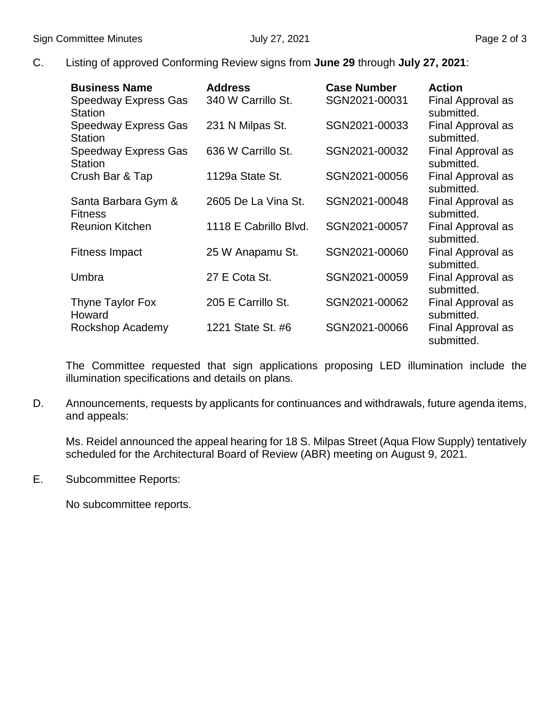C. Listing of approved Conforming Review signs from **June 29** through **July 27, 2021**:

| <b>Business Name</b><br>Speedway Express Gas      | <b>Address</b><br>340 W Carrillo St. | <b>Case Number</b><br>SGN2021-00031 | <b>Action</b><br>Final Approval as            |
|---------------------------------------------------|--------------------------------------|-------------------------------------|-----------------------------------------------|
| <b>Station</b><br>Speedway Express Gas<br>Station | 231 N Milpas St.                     | SGN2021-00033                       | submitted.<br>Final Approval as<br>submitted. |
| Speedway Express Gas<br><b>Station</b>            | 636 W Carrillo St.                   | SGN2021-00032                       | Final Approval as<br>submitted.               |
| Crush Bar & Tap                                   | 1129a State St.                      | SGN2021-00056                       | Final Approval as<br>submitted.               |
| Santa Barbara Gym &<br><b>Fitness</b>             | 2605 De La Vina St.                  | SGN2021-00048                       | Final Approval as<br>submitted.               |
| <b>Reunion Kitchen</b>                            | 1118 E Cabrillo Blvd.                | SGN2021-00057                       | Final Approval as<br>submitted.               |
| <b>Fitness Impact</b>                             | 25 W Anapamu St.                     | SGN2021-00060                       | Final Approval as<br>submitted.               |
| Umbra                                             | 27 E Cota St.                        | SGN2021-00059                       | Final Approval as<br>submitted.               |
| Thyne Taylor Fox<br>Howard                        | 205 E Carrillo St.                   | SGN2021-00062                       | Final Approval as<br>submitted.               |
| Rockshop Academy                                  | 1221 State St. #6                    | SGN2021-00066                       | Final Approval as<br>submitted.               |

The Committee requested that sign applications proposing LED illumination include the illumination specifications and details on plans.

D. Announcements, requests by applicants for continuances and withdrawals, future agenda items, and appeals:

Ms. Reidel announced the appeal hearing for 18 S. Milpas Street (Aqua Flow Supply) tentatively scheduled for the Architectural Board of Review (ABR) meeting on August 9, 2021*.*

E. Subcommittee Reports:

No subcommittee reports.